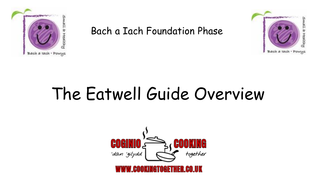

Bach a Iach Foundation Phase



# The Eatwell Guide Overview

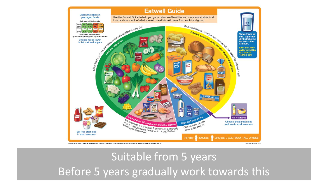

#### Suitable from 5 years Before 5 years gradually work towards this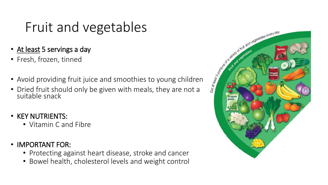### Fruit and vegetables

- At least 5 servings a day
- Fresh, frozen, tinned
- 
- At least 5 servings a day<br>• Fresh, frozen, tinned<br>• Avoid providing fruit juice and smoothies to young children<br>• Dried fruit should only be given with meals, they are not a • Dried fruit should only be given with meals, they are not a suitable snack
- KEY NUTRIENTS:
	- Vitamin C and Fibre
- IMPORTANT FOR:
	- Protecting against heart disease, stroke and cancer
	- Bowel health, cholesterol levels and weight control

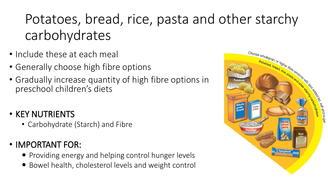## Potatoes, bread, rice, pasta and other starchy carbohydrates

- Include these at each meal
- Generally choose high fibre options
- Gradually increase quantity of high fibre options in preschool children's diets

#### • KEY NUTRIENTS

• Carbohydrate (Starch) and Fibre

#### • IMPORTANT FOR:

- Providing energy and helping control hunger levels
- Bowel health, cholesterol levels and weight control

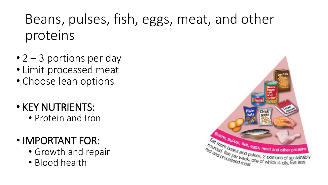## Beans, pulses, fish, eggs, meat, and other proteins

- $\bullet$  2 3 portions per day
- Limit processed meat
- Choose lean options
- KEY NUTRIENTS:
	- Protein and Iron
- IMPORTANT FOR:
	- Growth and repair
	- Blood health

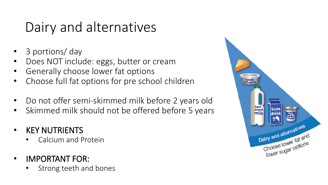### Dairy and alternatives

- 3 portions/ day
- Does NOT include: eggs, butter or cream
- Generally choose lower fat options
- Choose full fat options for pre school children
- Do not offer semi-skimmed milk before 2 years old
- Skimmed milk should not be offered before 5 years
- **KEY NUTRIENTS** 
	- Calcium and Protein
- IMPORTANT FOR:
	- Strong teeth and bones

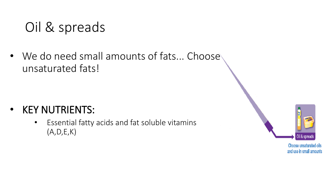### Oil & spreads

• We do need small amounts of fats... Choose unsaturated fats!

- KEY NUTRIENTS:
	- Essential fatty acids and fat soluble vitamins (A,D,E,K)



Choose unsaturated oils and use in small amounts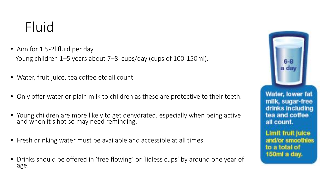#### Fluid

- Aim for 1.5-2l fluid per day Young children 1–5 years about 7–8 cups/day (cups of 100-150ml).
- Water, fruit juice, tea coffee etc all count
- Only offer water or plain milk to children as these are protective to their teeth.
- Young children are more likely to get dehydrated, especially when being active and when it's hot so may need reminding.
- Fresh drinking water must be available and accessible at all times.
- Drinks should be offered in 'free flowing' or 'lidless cups' by around one year of age.



Water, lower fat milk, sugar-free drinks including tea and coffee all count.

**Limit fruit juice** and/or smoothles to a total of 150ml a day.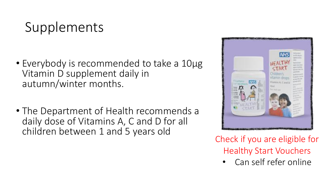### Supplements

- Everybody is recommended to take a 10μg Vitamin D supplement daily in autumn/winter months.
- The Department of Health recommends a daily dose of Vitamins A, C and D for all children between 1 and 5 years old



Check if you are eligible for Healthy Start Vouchers

• Can self refer online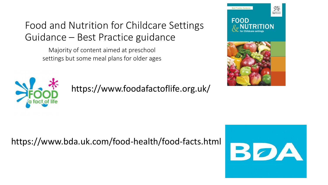#### Food and Nutrition for Childcare Settings Guidance – Best Practice guidance

Majority of content aimed at preschool settings but some meal plans for older ages





https://www.foodafactoflife.org.uk/

#### https://www.bda.uk.com/food-health/food-facts.html